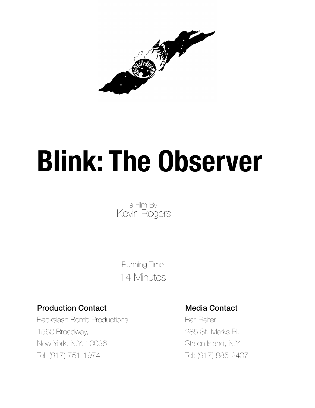

# **Blink: The Observer**

a Film By<br>Kevin Rogers

 Running Time 14 Minutes

# Production Contact **Media Contact** Media Contact

Backslash Bomb Productions **Bari Reiter** Bari Reiter 1560 Broadway, 285 St. Marks Pl. New York, N.Y. 10036 Staten Island, N.Y. Tel: (917) 751-1974 Tel: (917) 885-2407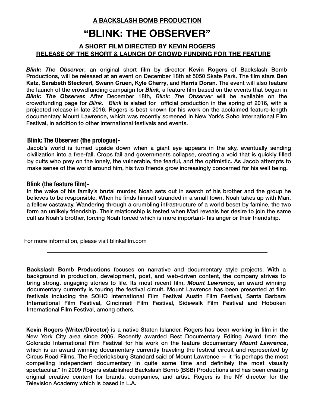**A BACKSLASH BOMB PRODUCTION** 

# **"BLINK: THE OBSERVER"**

## **A SHORT FILM DIRECTED BY KEVIN ROGERS RELEASE OF THE SHORT & LAUNCH OF CROWD FUNDING FOR THE FEATURE**

*Blink: The Observer*, an original short film by director **Kevin Rogers** of Backslash Bomb Productions, will be released at an event on December 18th at 5050 Skate Park. The film stars **Ben Katz**, **Sarabeth Steckrerl**, **Swann Gruen**, **Kyle Cherry**, and **Harris Doran**. The event will also feature the launch of the crowdfunding campaign for *Blink*, a feature film based on the events that began in *Blink: The Observer.* After December 18th, *Blink: The Observer* will be available on the crowdfunding page for *Blink*. *Blink* is slated for official production in the spring of 2016, with a projected release in late 2016. Rogers is best known for his work on the acclaimed feature-length documentary Mount Lawrence, which was recently screened in New York's Soho International Film Festival, in addition to other international festivals and events.

### **Blink: The Observer (the prologue)-**

Jacob's world is turned upside down when a giant eye appears in the sky, eventually sending civilization into a free-fall. Crops fail and governments collapse, creating a void that is quickly filled by cults who prey on the lonely, the vulnerable, the fearful, and the optimistic. As Jacob attempts to make sense of the world around him, his two friends grow increasingly concerned for his well being.

### **Blink (the feature film)-**

In the wake of his family's brutal murder, Noah sets out in search of his brother and the group he believes to be responsible. When he finds himself stranded in a small town, Noah takes up with Mari, a fellow castaway. Wandering through a crumbling infrastructure of a world beset by famine, the two form an unlikely friendship. Their relationship is tested when Mari reveals her desire to join the same cult as Noah's brother, forcing Noah forced which is more important- his anger or their friendship.

For more information, please visit [blinkafilm.com](http://blinkafilm.com)

**Backslash Bomb Productions** focuses on narrative and documentary style projects. With a background in production, development, post, and web-driven content, the company strives to bring strong, engaging stories to life. Its most recent film, *Mount Lawrence*, an award winning documentary currently is touring the festival circuit. Mount Lawrence has been presented at film festivals including the SOHO International Film Festival Austin Film Festival, Santa Barbara International Film Festival, Cincinnati Film Festival, Sidewalk Film Festival and Hoboken International Film Festival, among others.

**Kevin Rogers (Writer/Director)** is a native Staten Islander. Rogers has been working in film in the New York City area since 2006. Recently awarded Best Documentary Editing Award from the Colorado International Film Festival for his work on the feature documentary *Mount Lawrence*, which is an award winning documentary currently traveling the festival circuit and represented by Circus Road Films. The Fredericksburg Standard said of Mount Lawrence — it "is perhaps the most compelling independent documentary in quite some time and definitely the most visually spectacular." In 2009 Rogers established Backslash Bomb (BSB) Productions and has been creating original creative content for brands, companies, and artist. Rogers is the NY director for the Television Academy which is based in L.A.